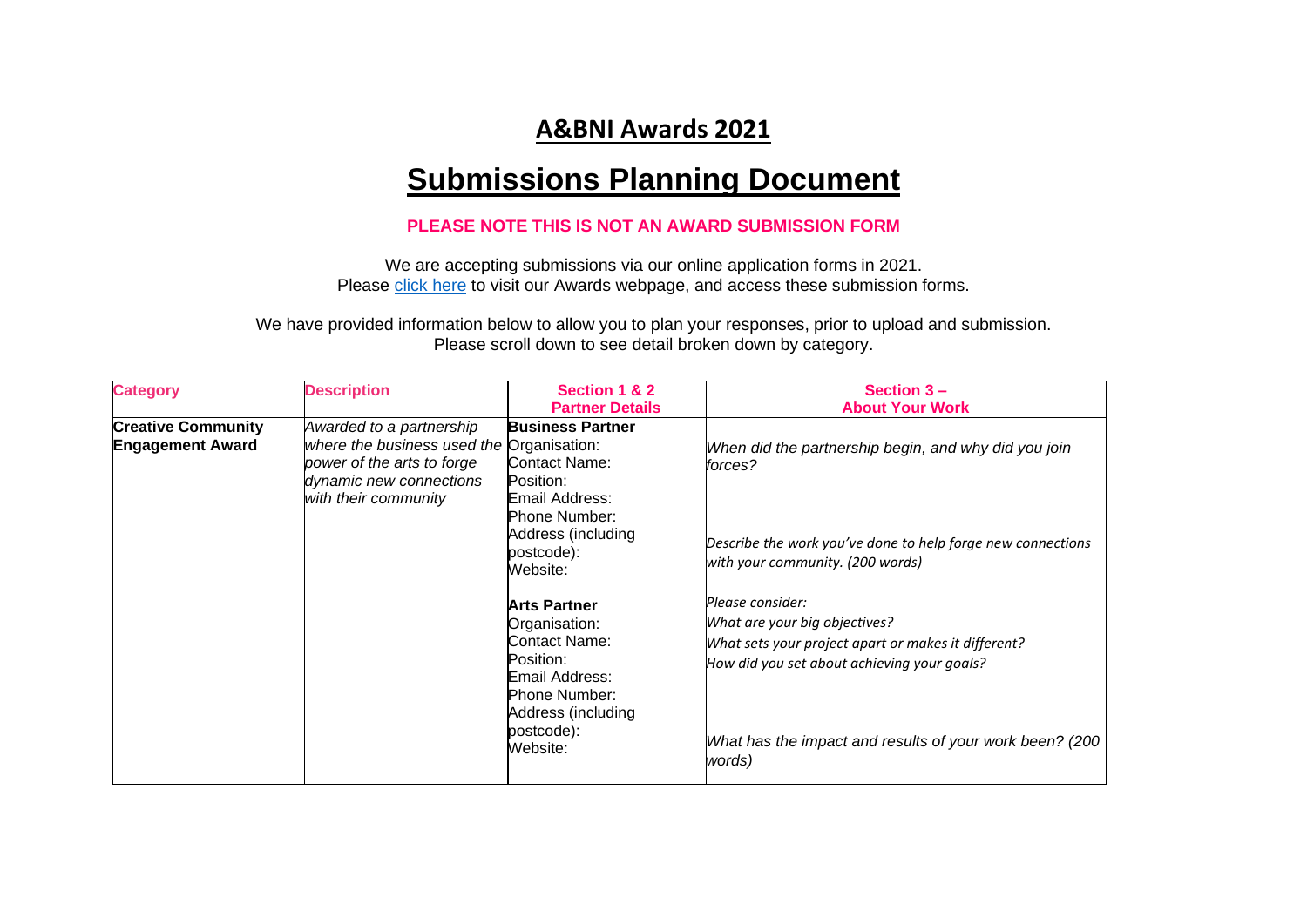## **A&BNI Awards 2021**

## **Submissions Planning Document**

## **PLEASE NOTE THIS IS NOT AN AWARD SUBMISSION FORM**

We are accepting submissions via our online application forms in 2021. Please [click here](file:///C:/Users/k.robinson/Desktop/Work/AWARDS/Applications/By%20category/tinyurl.com/26s5bd4j) to visit our Awards webpage, and access these submission forms.

We have provided information below to allow you to plan your responses, prior to upload and submission. Please scroll down to see detail broken down by category.

| <b>Category</b>                                      | <b>Description</b>                                                                                                                                     | Section 1 & 2<br><b>Partner Details</b>                                                                                                                                                                                                                                                                         | Section $3 -$<br><b>About Your Work</b>                                                                                                                                                                                                                                                                                                                                                            |
|------------------------------------------------------|--------------------------------------------------------------------------------------------------------------------------------------------------------|-----------------------------------------------------------------------------------------------------------------------------------------------------------------------------------------------------------------------------------------------------------------------------------------------------------------|----------------------------------------------------------------------------------------------------------------------------------------------------------------------------------------------------------------------------------------------------------------------------------------------------------------------------------------------------------------------------------------------------|
| <b>Creative Community</b><br><b>Engagement Award</b> | Awarded to a partnership<br>where the business used the Organisation:<br>power of the arts to forge<br>dynamic new connections<br>with their community | <b>Business Partner</b><br><b>Contact Name:</b><br>Position:<br>Email Address:<br>Phone Number:<br>Address (including<br>postcode):<br>Website:<br><b>Arts Partner</b><br>Organisation:<br>Contact Name:<br>Position:<br>Email Address:<br><b>Phone Number:</b><br>Address (including<br>postcode):<br>Website: | When did the partnership begin, and why did you join<br>forces?<br>Describe the work you've done to help forge new connections<br>with your community. (200 words)<br>Please consider:<br>What are your big objectives?<br>What sets your project apart or makes it different?<br>How did you set about achieving your goals?<br>What has the impact and results of your work been? (200<br>words) |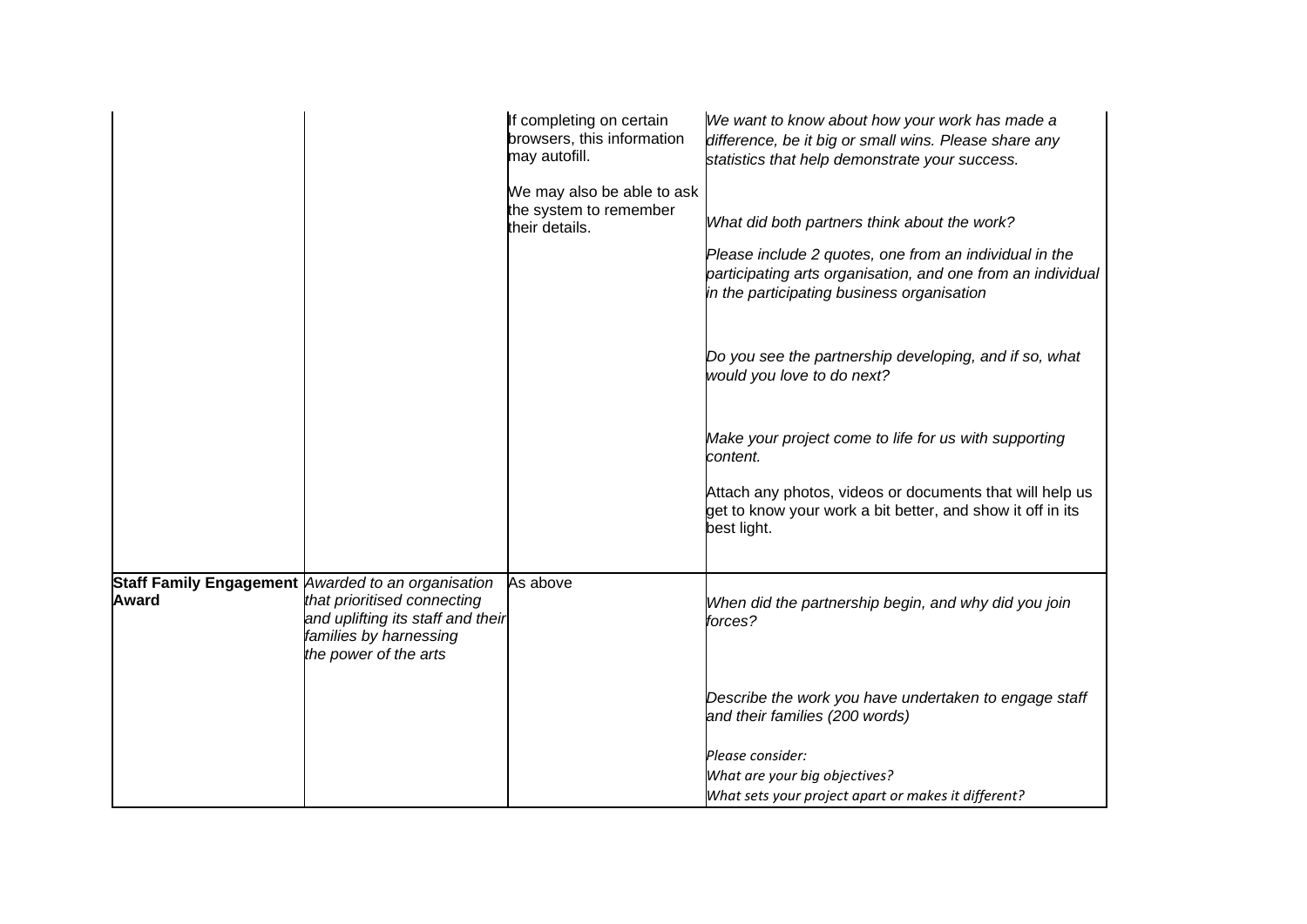|              |                                                                                                                                                                           | If completing on certain<br>browsers, this information<br>may autofill. | We want to know about how your work has made a<br>difference, be it big or small wins. Please share any<br>statistics that help demonstrate your success.           |
|--------------|---------------------------------------------------------------------------------------------------------------------------------------------------------------------------|-------------------------------------------------------------------------|---------------------------------------------------------------------------------------------------------------------------------------------------------------------|
|              |                                                                                                                                                                           | We may also be able to ask<br>the system to remember<br>their details.  | What did both partners think about the work?                                                                                                                        |
|              |                                                                                                                                                                           |                                                                         | Please include 2 quotes, one from an individual in the<br>participating arts organisation, and one from an individual<br>in the participating business organisation |
|              |                                                                                                                                                                           |                                                                         | Do you see the partnership developing, and if so, what<br>would you love to do next?                                                                                |
|              |                                                                                                                                                                           |                                                                         | Make your project come to life for us with supporting<br>content.                                                                                                   |
|              |                                                                                                                                                                           |                                                                         | Attach any photos, videos or documents that will help us<br>get to know your work a bit better, and show it off in its<br>best light.                               |
| <b>Award</b> | Staff Family Engagement Awarded to an organisation<br>that prioritised connecting<br>and uplifting its staff and their<br>families by harnessing<br>the power of the arts | As above                                                                | When did the partnership begin, and why did you join<br>forces?                                                                                                     |
|              |                                                                                                                                                                           |                                                                         | Describe the work you have undertaken to engage staff<br>and their families (200 words)                                                                             |
|              |                                                                                                                                                                           |                                                                         | Please consider:                                                                                                                                                    |
|              |                                                                                                                                                                           |                                                                         | What are your big objectives?                                                                                                                                       |
|              |                                                                                                                                                                           |                                                                         | What sets your project apart or makes it different?                                                                                                                 |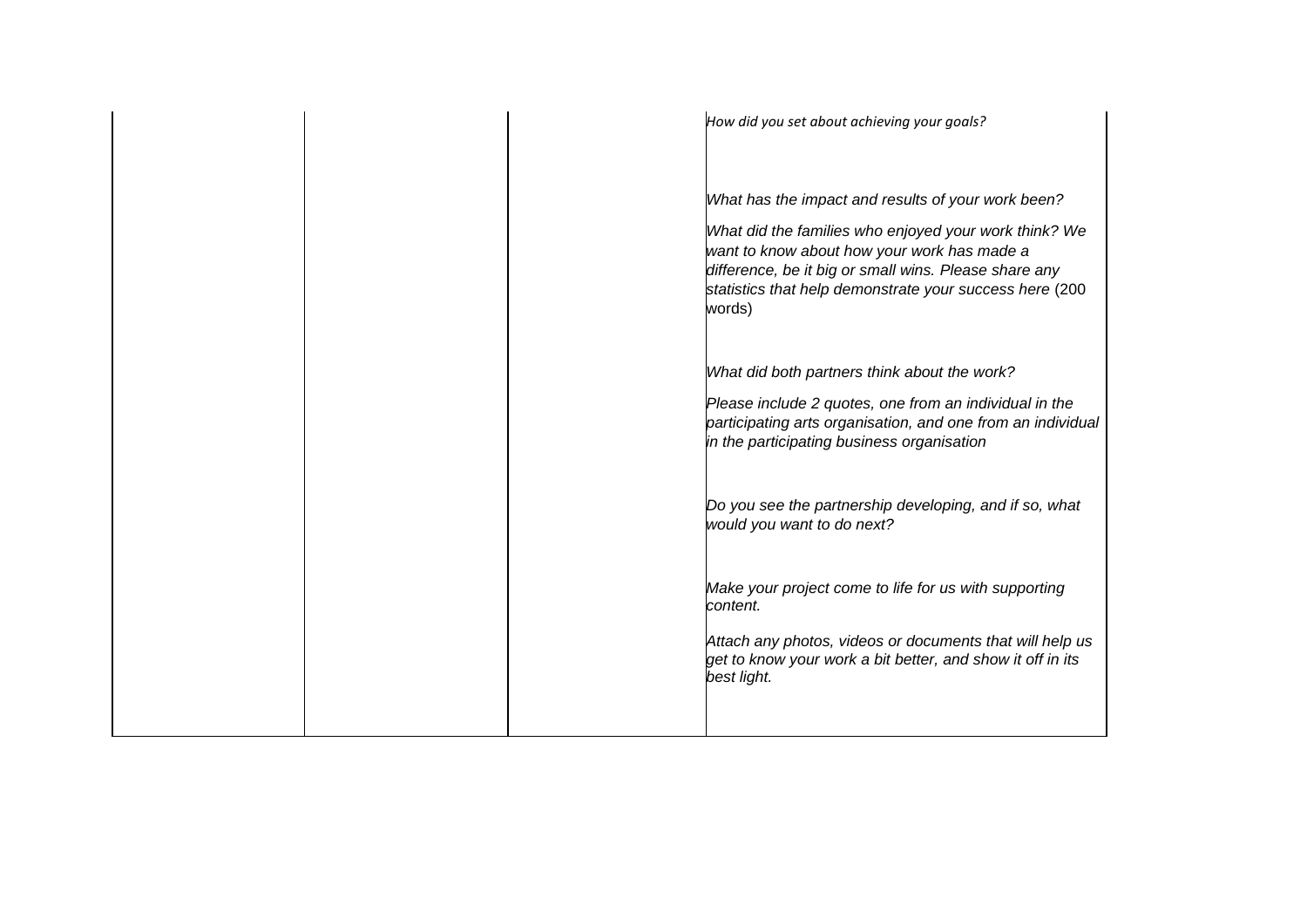|  | How did you set about achieving your goals?                                                                                                                                                                                        |
|--|------------------------------------------------------------------------------------------------------------------------------------------------------------------------------------------------------------------------------------|
|  | What has the impact and results of your work been?                                                                                                                                                                                 |
|  | What did the families who enjoyed your work think? We<br>want to know about how your work has made a<br>difference, be it big or small wins. Please share any<br>statistics that help demonstrate your success here (200<br>words) |
|  | What did both partners think about the work?                                                                                                                                                                                       |
|  | Please include 2 quotes, one from an individual in the<br>participating arts organisation, and one from an individual<br>in the participating business organisation                                                                |
|  | Do you see the partnership developing, and if so, what<br>would you want to do next?                                                                                                                                               |
|  | Make your project come to life for us with supporting<br>content.                                                                                                                                                                  |
|  | Attach any photos, videos or documents that will help us<br>get to know your work a bit better, and show it off in its<br>best light.                                                                                              |
|  |                                                                                                                                                                                                                                    |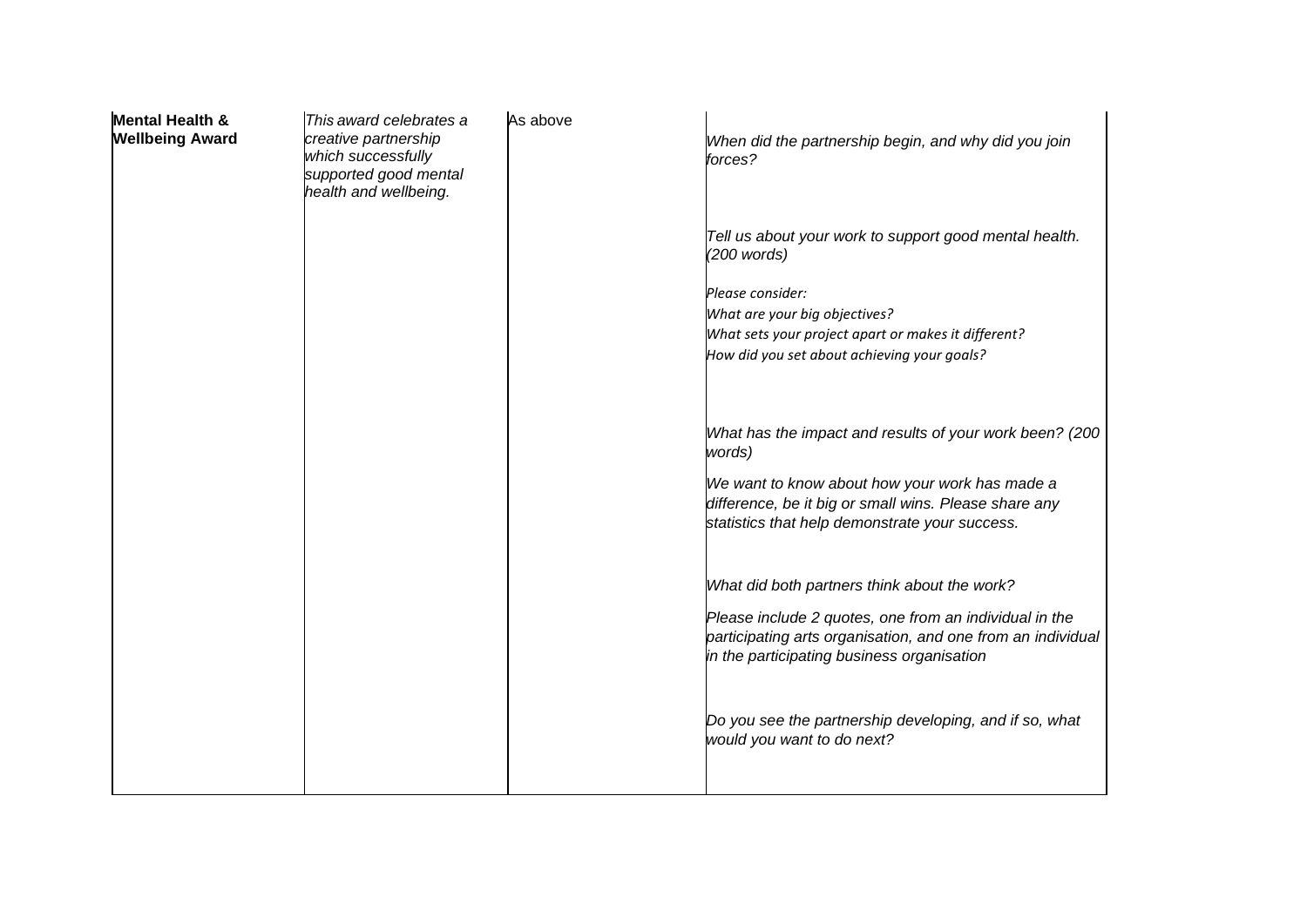| <b>Mental Health &amp;</b><br><b>Wellbeing Award</b> | This award celebrates a<br>creative partnership<br>which successfully<br>supported good mental<br>health and wellbeing. | As above | When did the partnership begin, and why did you join<br>forces?                                                                                                     |
|------------------------------------------------------|-------------------------------------------------------------------------------------------------------------------------|----------|---------------------------------------------------------------------------------------------------------------------------------------------------------------------|
|                                                      |                                                                                                                         |          | Tell us about your work to support good mental health.<br>(200 words)                                                                                               |
|                                                      |                                                                                                                         |          | Please consider:<br>What are your big objectives?<br>What sets your project apart or makes it different?<br>How did you set about achieving your goals?             |
|                                                      |                                                                                                                         |          | What has the impact and results of your work been? (200<br>words)                                                                                                   |
|                                                      |                                                                                                                         |          | We want to know about how your work has made a<br>difference, be it big or small wins. Please share any<br>statistics that help demonstrate your success.           |
|                                                      |                                                                                                                         |          | What did both partners think about the work?                                                                                                                        |
|                                                      |                                                                                                                         |          | Please include 2 quotes, one from an individual in the<br>participating arts organisation, and one from an individual<br>in the participating business organisation |
|                                                      |                                                                                                                         |          | Do you see the partnership developing, and if so, what<br>would you want to do next?                                                                                |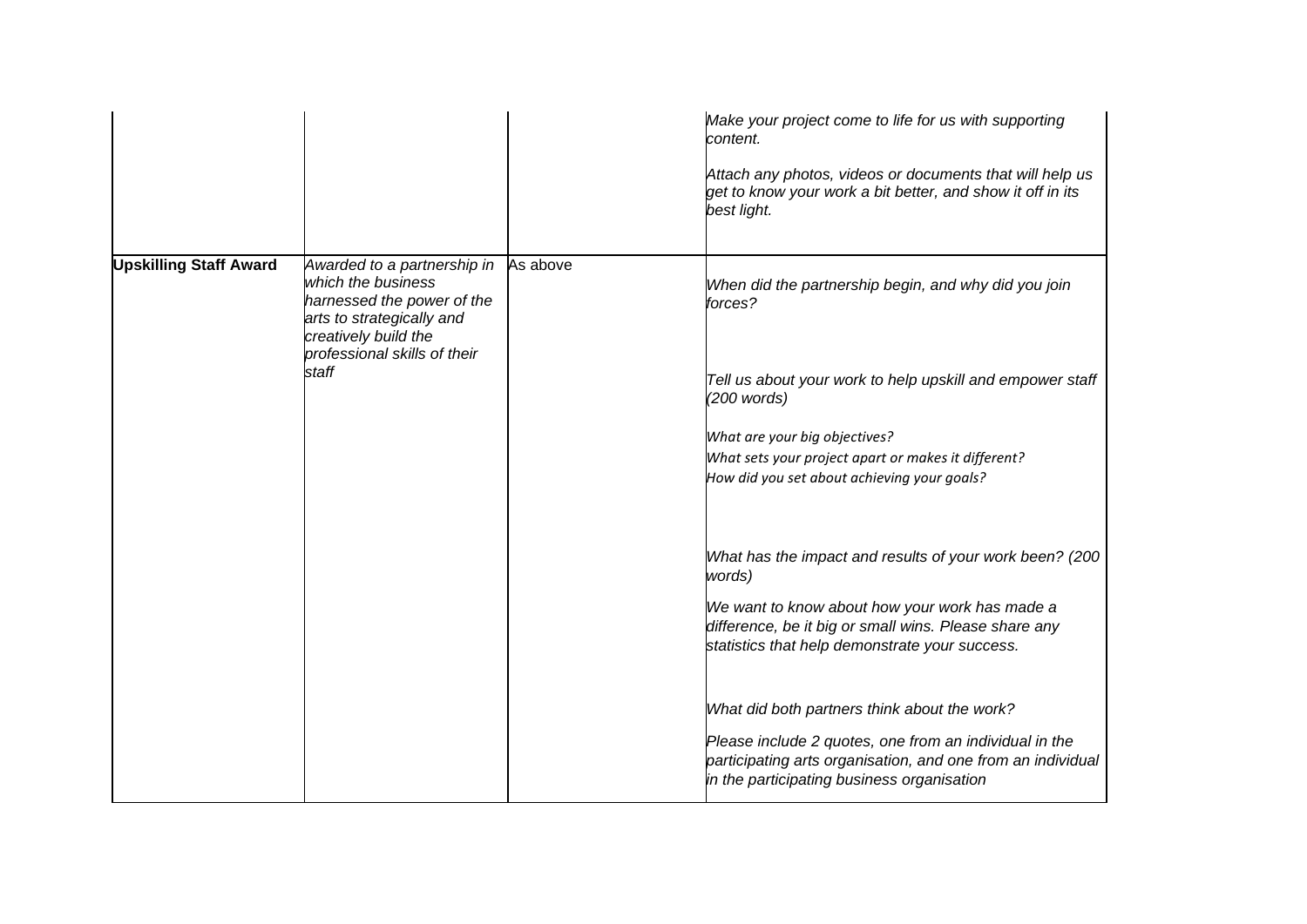|                               |                                                                                                                                                                               |          | Make your project come to life for us with supporting<br>content.<br>Attach any photos, videos or documents that will help us<br>get to know your work a bit better, and show it off in its<br>best light.                                                                                                                                                                                                                                            |
|-------------------------------|-------------------------------------------------------------------------------------------------------------------------------------------------------------------------------|----------|-------------------------------------------------------------------------------------------------------------------------------------------------------------------------------------------------------------------------------------------------------------------------------------------------------------------------------------------------------------------------------------------------------------------------------------------------------|
| <b>Upskilling Staff Award</b> | Awarded to a partnership in<br>which the business<br>harnessed the power of the<br>arts to strategically and<br>creatively build the<br>professional skills of their<br>staff | As above | When did the partnership begin, and why did you join<br>forces?<br>Tell us about your work to help upskill and empower staff<br>(200 words)<br>What are your big objectives?<br>What sets your project apart or makes it different?<br>How did you set about achieving your goals?                                                                                                                                                                    |
|                               |                                                                                                                                                                               |          | What has the impact and results of your work been? (200<br>words)<br>We want to know about how your work has made a<br>difference, be it big or small wins. Please share any<br>statistics that help demonstrate your success.<br>What did both partners think about the work?<br>Please include 2 quotes, one from an individual in the<br>participating arts organisation, and one from an individual<br>in the participating business organisation |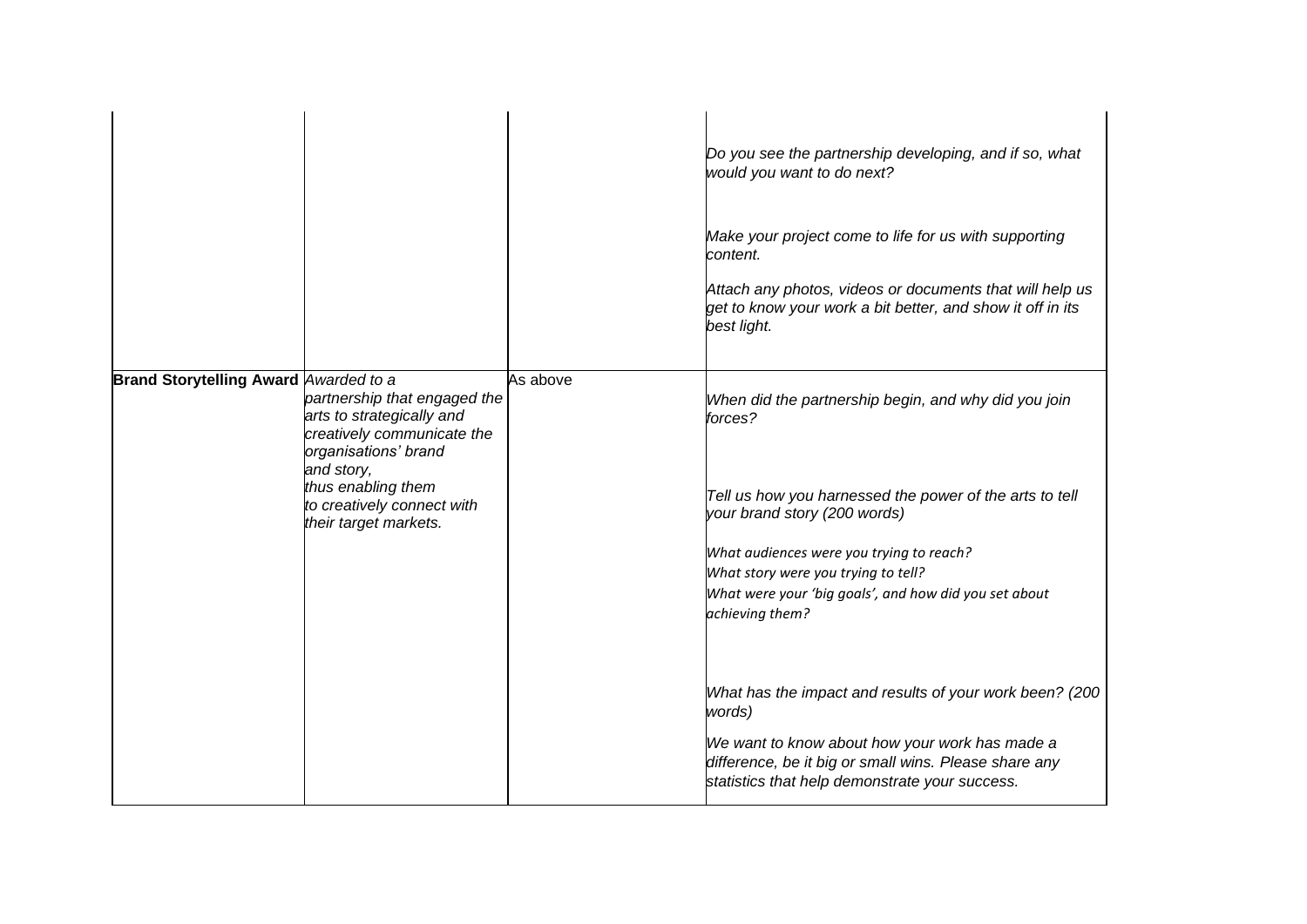|                                              |                                                                                                                                                                                                            |          | Do you see the partnership developing, and if so, what<br>would you want to do next?<br>Make your project come to life for us with supporting<br>content.<br>Attach any photos, videos or documents that will help us<br>get to know your work a bit better, and show it off in its<br>best light.                                                                                             |
|----------------------------------------------|------------------------------------------------------------------------------------------------------------------------------------------------------------------------------------------------------------|----------|------------------------------------------------------------------------------------------------------------------------------------------------------------------------------------------------------------------------------------------------------------------------------------------------------------------------------------------------------------------------------------------------|
| <b>Brand Storytelling Award Awarded to a</b> | partnership that engaged the<br>arts to strategically and<br>creatively communicate the<br>organisations' brand<br>and story,<br>thus enabling them<br>to creatively connect with<br>their target markets. | As above | When did the partnership begin, and why did you join<br>forces?<br>Tell us how you harnessed the power of the arts to tell<br>your brand story (200 words)<br>What audiences were you trying to reach?<br>What story were you trying to tell?<br>What were your 'big goals', and how did you set about<br>achieving them?<br>What has the impact and results of your work been? (200<br>words) |
|                                              |                                                                                                                                                                                                            |          | We want to know about how your work has made a<br>difference, be it big or small wins. Please share any<br>statistics that help demonstrate your success.                                                                                                                                                                                                                                      |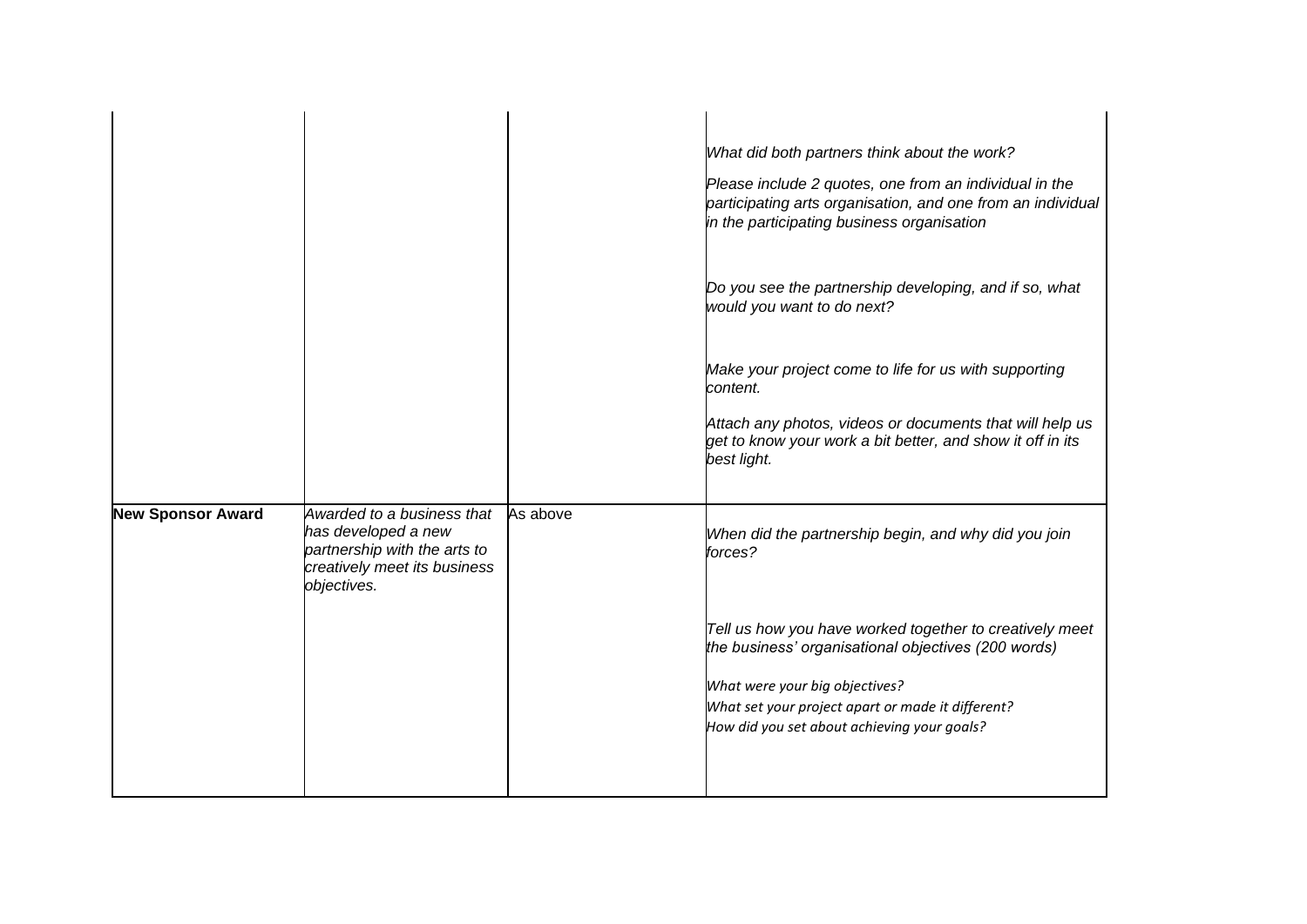|                          |                                                                                                                                  |          | What did both partners think about the work?                                                                                                                        |
|--------------------------|----------------------------------------------------------------------------------------------------------------------------------|----------|---------------------------------------------------------------------------------------------------------------------------------------------------------------------|
|                          |                                                                                                                                  |          | Please include 2 quotes, one from an individual in the<br>participating arts organisation, and one from an individual<br>in the participating business organisation |
|                          |                                                                                                                                  |          | Do you see the partnership developing, and if so, what<br>would you want to do next?                                                                                |
|                          |                                                                                                                                  |          | Make your project come to life for us with supporting<br>content.                                                                                                   |
|                          |                                                                                                                                  |          | Attach any photos, videos or documents that will help us<br>get to know your work a bit better, and show it off in its<br>best light.                               |
| <b>New Sponsor Award</b> | Awarded to a business that<br>has developed a new<br>partnership with the arts to<br>creatively meet its business<br>objectives. | As above | When did the partnership begin, and why did you join<br>forces?                                                                                                     |
|                          |                                                                                                                                  |          | Tell us how you have worked together to creatively meet<br>the business' organisational objectives (200 words)                                                      |
|                          |                                                                                                                                  |          | What were your big objectives?                                                                                                                                      |
|                          |                                                                                                                                  |          | What set your project apart or made it different?                                                                                                                   |
|                          |                                                                                                                                  |          | How did you set about achieving your goals?                                                                                                                         |
|                          |                                                                                                                                  |          |                                                                                                                                                                     |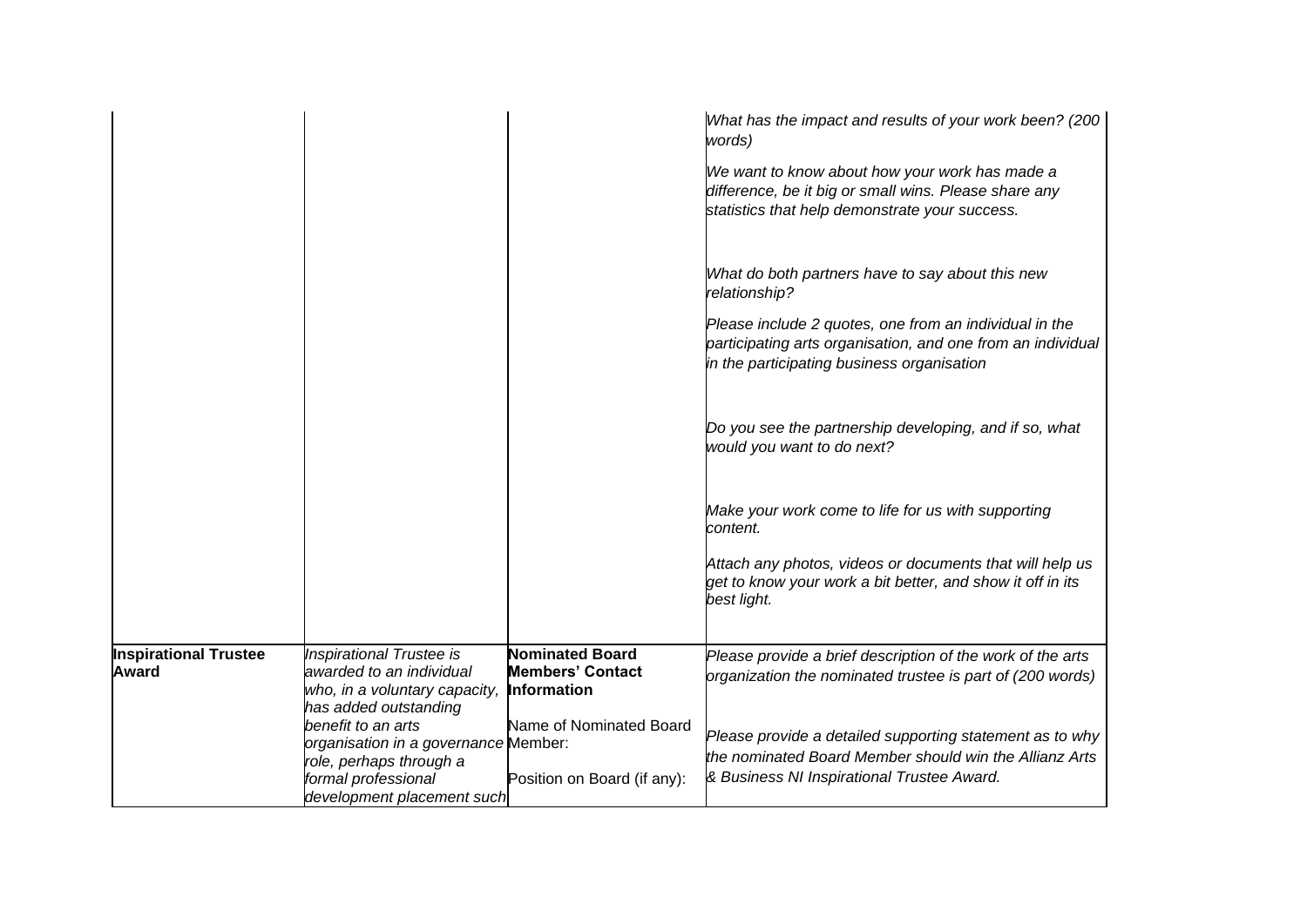|                                              |                                                                                                                                            |                                                                         | What has the impact and results of your work been? (200<br>words)<br>We want to know about how your work has made a<br>difference, be it big or small wins. Please share any<br>statistics that help demonstrate your success. |
|----------------------------------------------|--------------------------------------------------------------------------------------------------------------------------------------------|-------------------------------------------------------------------------|--------------------------------------------------------------------------------------------------------------------------------------------------------------------------------------------------------------------------------|
|                                              |                                                                                                                                            |                                                                         | What do both partners have to say about this new<br>relationship?                                                                                                                                                              |
|                                              |                                                                                                                                            |                                                                         | Please include 2 quotes, one from an individual in the<br>participating arts organisation, and one from an individual<br>in the participating business organisation                                                            |
|                                              |                                                                                                                                            |                                                                         | Do you see the partnership developing, and if so, what<br>would you want to do next?                                                                                                                                           |
|                                              |                                                                                                                                            |                                                                         | Make your work come to life for us with supporting<br>content.                                                                                                                                                                 |
|                                              |                                                                                                                                            |                                                                         | Attach any photos, videos or documents that will help us<br>get to know your work a bit better, and show it off in its<br>best light.                                                                                          |
| <b>Inspirational Trustee</b><br><b>Award</b> | <b>Inspirational Trustee is</b><br>awarded to an individual<br>who, in a voluntary capacity,<br>has added outstanding                      | <b>Nominated Board</b><br><b>Members' Contact</b><br><b>Information</b> | Please provide a brief description of the work of the arts<br>organization the nominated trustee is part of (200 words)                                                                                                        |
|                                              | benefit to an arts<br>organisation in a governance Member:<br>role, perhaps through a<br>formal professional<br>development placement such | Name of Nominated Board<br>Position on Board (if any):                  | Please provide a detailed supporting statement as to why<br>the nominated Board Member should win the Allianz Arts<br>& Business NI Inspirational Trustee Award.                                                               |